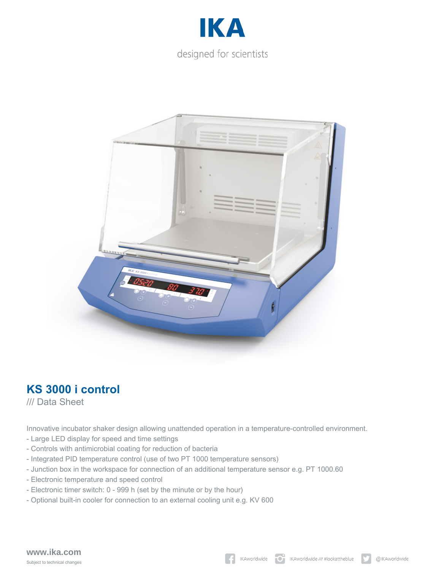



## **KS 3000 i control**

/// Data Sheet

Innovative incubator shaker design allowing unattended operation in a temperature-controlled environment.

- Large LED display for speed and time settings
- Controls with antimicrobial coating for reduction of bacteria
- Integrated PID temperature control (use of two PT 1000 temperature sensors)
- Junction box in the workspace for connection of an additional temperature sensor e.g. PT 1000.60
- Electronic temperature and speed control
- Electronic timer switch: 0 999 h (set by the minute or by the hour)
- Optional built-in cooler for connection to an external cooling unit e.g. KV 600

## **www.ika.com** Subject to technical changes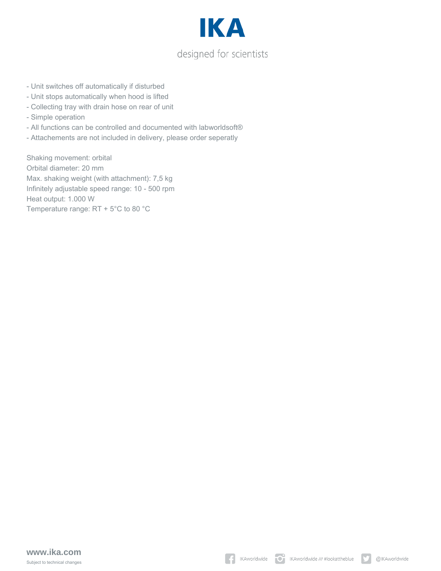

- Unit switches off automatically if disturbed
- Unit stops automatically when hood is lifted
- Collecting tray with drain hose on rear of unit
- Simple operation
- All functions can be controlled and documented with labworldsoft®
- Attachements are not included in delivery, please order seperatly

Shaking movement: orbital Orbital diameter: 20 mm Max. shaking weight (with attachment): 7,5 kg Infinitely adjustable speed range: 10 - 500 rpm Heat output: 1.000 W Temperature range: RT + 5°C to 80 °C